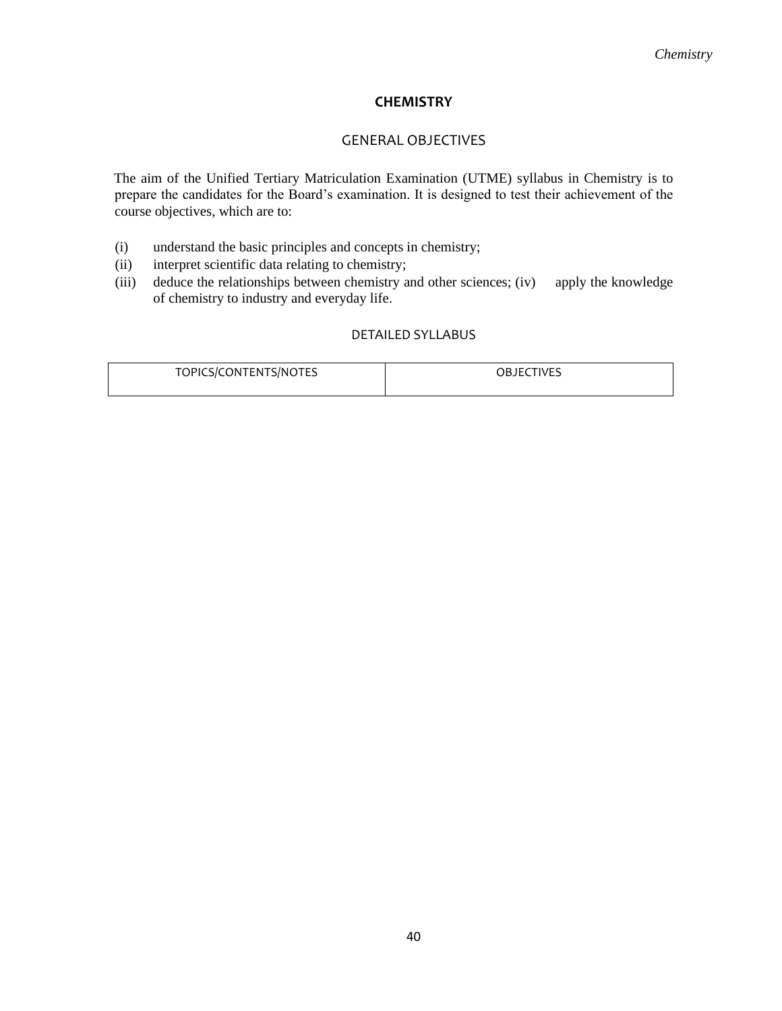## **CHEMISTRY**

## GENERAL OBJECTIVES

The aim of the Unified Tertiary Matriculation Examination (UTME) syllabus in Chemistry is to prepare the candidates for the Board's examination. It is designed to test their achievement of the course objectives, which are to:

- (i) understand the basic principles and concepts in chemistry;
- (ii) interpret scientific data relating to chemistry;
- (iii) deduce the relationships between chemistry and other sciences; (iv) apply the knowledge of chemistry to industry and everyday life.

## DETAILED SYLLABUS

| TOPICS/CONTENTS/NOTES | OBJECTIVES |
|-----------------------|------------|
|                       |            |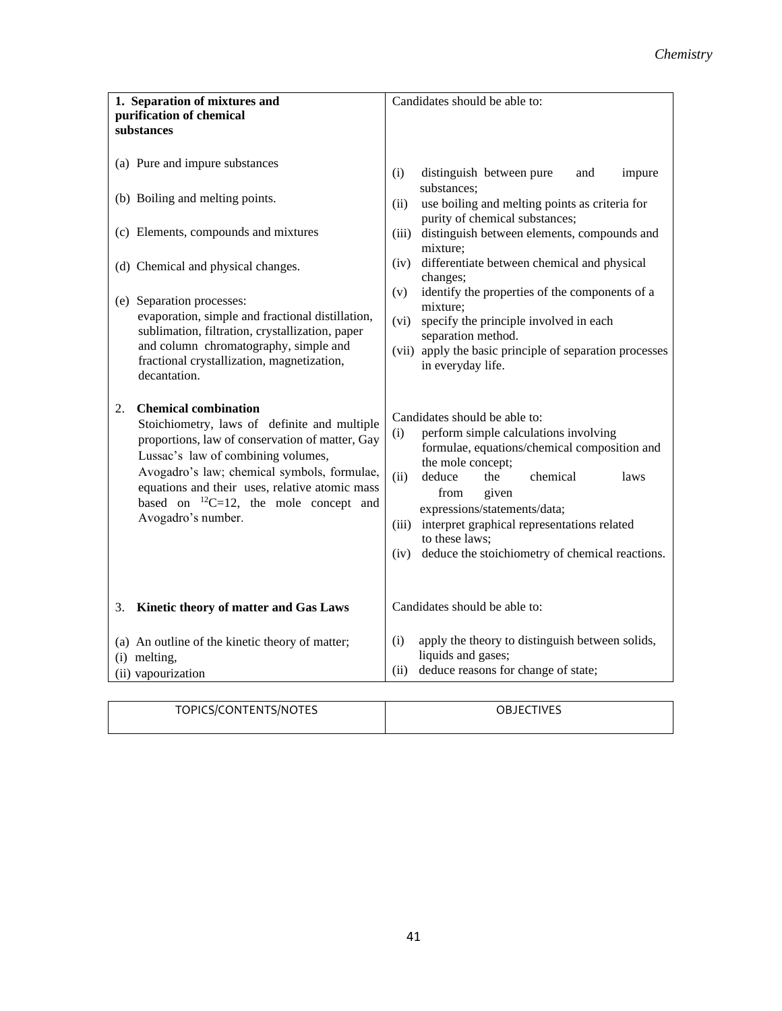| 1. Separation of mixtures and<br>purification of chemical<br>substances                                                                                                                                                                                                                                                                                                    | Candidates should be able to:                                                                                                                                                                                                                                                                                                                                                                                                                                                                                                   |
|----------------------------------------------------------------------------------------------------------------------------------------------------------------------------------------------------------------------------------------------------------------------------------------------------------------------------------------------------------------------------|---------------------------------------------------------------------------------------------------------------------------------------------------------------------------------------------------------------------------------------------------------------------------------------------------------------------------------------------------------------------------------------------------------------------------------------------------------------------------------------------------------------------------------|
| (a) Pure and impure substances<br>(b) Boiling and melting points.<br>(c) Elements, compounds and mixtures<br>(d) Chemical and physical changes.<br>(e) Separation processes:<br>evaporation, simple and fractional distillation,<br>sublimation, filtration, crystallization, paper<br>and column chromatography, simple and<br>fractional crystallization, magnetization, | (i)<br>distinguish between pure<br>impure<br>and<br>substances;<br>use boiling and melting points as criteria for<br>(ii)<br>purity of chemical substances;<br>distinguish between elements, compounds and<br>(iii)<br>mixture;<br>differentiate between chemical and physical<br>(iv)<br>changes;<br>identify the properties of the components of a<br>(v)<br>mixture;<br>specify the principle involved in each<br>(vi)<br>separation method.<br>(vii) apply the basic principle of separation processes<br>in everyday life. |
| decantation.<br><b>Chemical combination</b><br>2.<br>Stoichiometry, laws of definite and multiple<br>proportions, law of conservation of matter, Gay<br>Lussac's law of combining volumes,<br>Avogadro's law; chemical symbols, formulae,<br>equations and their uses, relative atomic mass<br>based on ${}^{12}C=12$ , the mole concept and<br>Avogadro's number.         | Candidates should be able to:<br>perform simple calculations involving<br>(i)<br>formulae, equations/chemical composition and<br>the mole concept;<br>(ii)<br>chemical<br>deduce<br>the<br>laws<br>from<br>given<br>expressions/statements/data;<br>interpret graphical representations related<br>(iii)<br>to these laws:<br>deduce the stoichiometry of chemical reactions.<br>(iv)                                                                                                                                           |
| Kinetic theory of matter and Gas Laws<br>3.                                                                                                                                                                                                                                                                                                                                | Candidates should be able to:                                                                                                                                                                                                                                                                                                                                                                                                                                                                                                   |
| (a) An outline of the kinetic theory of matter;<br>(i) melting,<br>(ii) vapourization                                                                                                                                                                                                                                                                                      | apply the theory to distinguish between solids,<br>(i)<br>liquids and gases;<br>deduce reasons for change of state;<br>(ii)                                                                                                                                                                                                                                                                                                                                                                                                     |

| TOPICS/CONTENTS/NOTES | OBJECTIVES |
|-----------------------|------------|
|                       |            |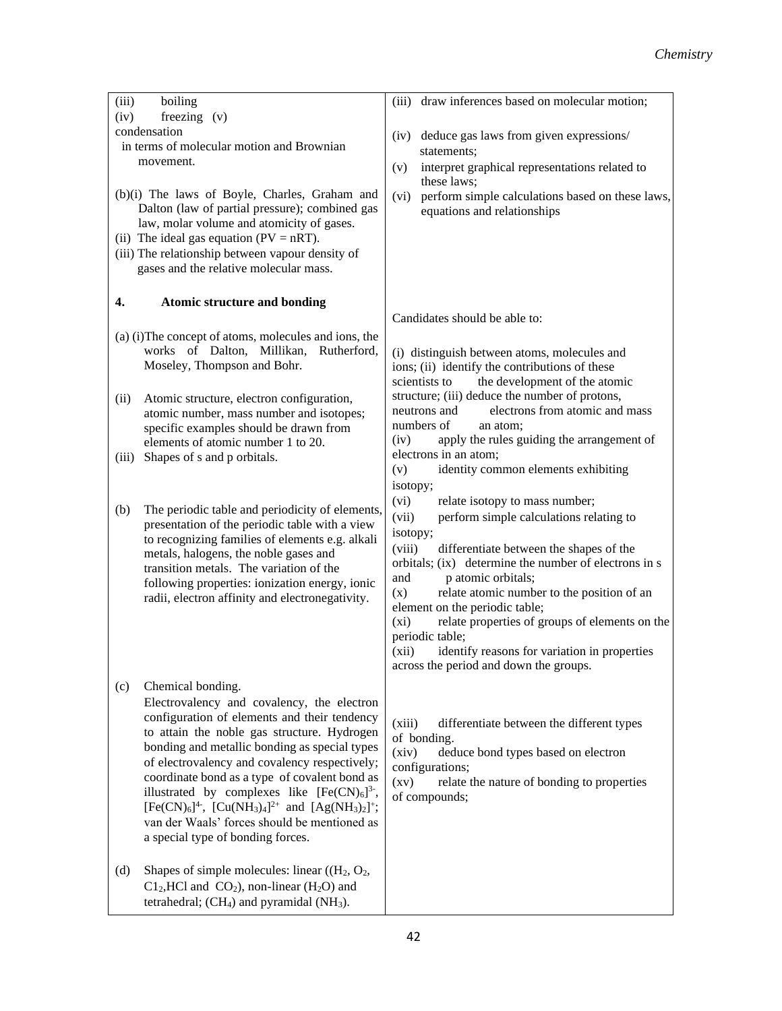| (iii)<br>boiling                                                                                                                                                                                                                                                                          | draw inferences based on molecular motion;<br>(iii)                                              |
|-------------------------------------------------------------------------------------------------------------------------------------------------------------------------------------------------------------------------------------------------------------------------------------------|--------------------------------------------------------------------------------------------------|
| freezing $(v)$<br>(iv)                                                                                                                                                                                                                                                                    |                                                                                                  |
| condensation<br>in terms of molecular motion and Brownian                                                                                                                                                                                                                                 | deduce gas laws from given expressions/<br>(iv)                                                  |
| movement.                                                                                                                                                                                                                                                                                 | statements;<br>interpret graphical representations related to<br>(v)                             |
|                                                                                                                                                                                                                                                                                           | these laws;                                                                                      |
| (b)(i) The laws of Boyle, Charles, Graham and<br>Dalton (law of partial pressure); combined gas<br>law, molar volume and atomicity of gases.<br>(ii) The ideal gas equation ( $PV = nRT$ ).<br>(iii) The relationship between vapour density of<br>gases and the relative molecular mass. | perform simple calculations based on these laws,<br>(vi)<br>equations and relationships          |
| Atomic structure and bonding<br>4.                                                                                                                                                                                                                                                        |                                                                                                  |
|                                                                                                                                                                                                                                                                                           | Candidates should be able to:                                                                    |
| (a) (i) The concept of atoms, molecules and ions, the                                                                                                                                                                                                                                     |                                                                                                  |
| works of Dalton, Millikan,<br>Rutherford,<br>Moseley, Thompson and Bohr.                                                                                                                                                                                                                  | (i) distinguish between atoms, molecules and<br>ions; (ii) identify the contributions of these   |
|                                                                                                                                                                                                                                                                                           | scientists to<br>the development of the atomic                                                   |
| (ii)<br>Atomic structure, electron configuration,<br>atomic number, mass number and isotopes;                                                                                                                                                                                             | structure; (iii) deduce the number of protons,<br>electrons from atomic and mass<br>neutrons and |
| specific examples should be drawn from                                                                                                                                                                                                                                                    | numbers of<br>an atom;                                                                           |
| elements of atomic number 1 to 20.                                                                                                                                                                                                                                                        | apply the rules guiding the arrangement of<br>(iv)                                               |
| (iii)<br>Shapes of s and p orbitals.                                                                                                                                                                                                                                                      | electrons in an atom;<br>identity common elements exhibiting<br>(v)                              |
|                                                                                                                                                                                                                                                                                           | isotopy;                                                                                         |
| The periodic table and periodicity of elements,<br>(b)                                                                                                                                                                                                                                    | (vi)<br>relate isotopy to mass number;                                                           |
| presentation of the periodic table with a view                                                                                                                                                                                                                                            | (vii)<br>perform simple calculations relating to<br>isotopy;                                     |
| to recognizing families of elements e.g. alkali<br>metals, halogens, the noble gases and                                                                                                                                                                                                  | (viii)<br>differentiate between the shapes of the                                                |
| transition metals. The variation of the                                                                                                                                                                                                                                                   | orbitals; (ix) determine the number of electrons in s<br>and                                     |
| following properties: ionization energy, ionic<br>radii, electron affinity and electronegativity.                                                                                                                                                                                         | p atomic orbitals;<br>relate atomic number to the position of an<br>(x)                          |
|                                                                                                                                                                                                                                                                                           | element on the periodic table;                                                                   |
|                                                                                                                                                                                                                                                                                           | relate properties of groups of elements on the<br>$(x_i)$<br>periodic table;                     |
|                                                                                                                                                                                                                                                                                           | identify reasons for variation in properties<br>(xii)                                            |
|                                                                                                                                                                                                                                                                                           | across the period and down the groups.                                                           |
| Chemical bonding.<br>(c)                                                                                                                                                                                                                                                                  |                                                                                                  |
| Electrovalency and covalency, the electron<br>configuration of elements and their tendency                                                                                                                                                                                                |                                                                                                  |
| to attain the noble gas structure. Hydrogen                                                                                                                                                                                                                                               | (xiii)<br>differentiate between the different types<br>of bonding.                               |
| bonding and metallic bonding as special types<br>of electrovalency and covalency respectively;                                                                                                                                                                                            | (xiv)<br>deduce bond types based on electron                                                     |
| coordinate bond as a type of covalent bond as                                                                                                                                                                                                                                             | configurations;<br>(xv)<br>relate the nature of bonding to properties                            |
| illustrated by complexes like $[Fe(CN)_6]^{3}$ ,                                                                                                                                                                                                                                          | of compounds;                                                                                    |
| $[Fe(CN)6]4$ , $[Cu(NH3)4]2+$ and $[Ag(NH3)2]+$ ;<br>van der Waals' forces should be mentioned as                                                                                                                                                                                         |                                                                                                  |
| a special type of bonding forces.                                                                                                                                                                                                                                                         |                                                                                                  |
|                                                                                                                                                                                                                                                                                           |                                                                                                  |
| Shapes of simple molecules: linear $((H_2, O_2,$<br>(d)                                                                                                                                                                                                                                   |                                                                                                  |
| $C12$ , HCl and $CO2$ ), non-linear (H <sub>2</sub> O) and<br>tetrahedral; (CH <sub>4</sub> ) and pyramidal (NH <sub>3</sub> ).                                                                                                                                                           |                                                                                                  |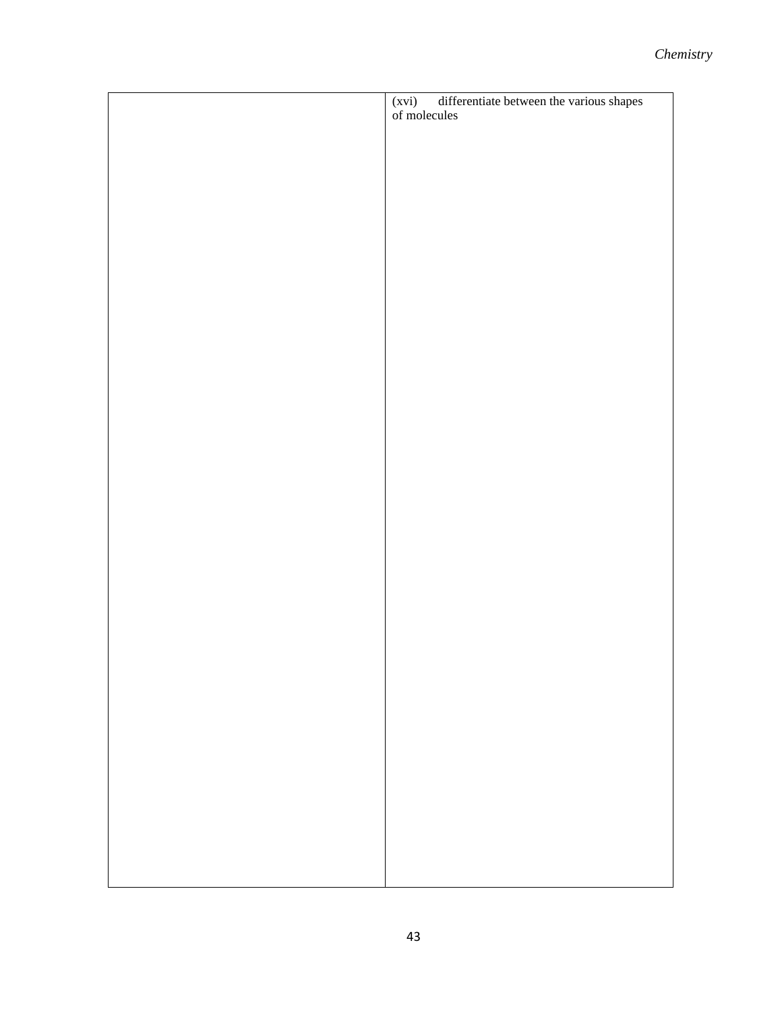| (xvi) differentiate between the various shapes<br>of molecules |
|----------------------------------------------------------------|
|                                                                |
|                                                                |
|                                                                |
|                                                                |
|                                                                |
|                                                                |
|                                                                |
|                                                                |
|                                                                |
|                                                                |
|                                                                |
|                                                                |
|                                                                |
|                                                                |
|                                                                |
|                                                                |
|                                                                |
|                                                                |
|                                                                |
|                                                                |
|                                                                |
|                                                                |
|                                                                |
|                                                                |
|                                                                |
|                                                                |
|                                                                |
|                                                                |
|                                                                |
|                                                                |
|                                                                |
|                                                                |
|                                                                |
|                                                                |
|                                                                |
|                                                                |
|                                                                |
|                                                                |
|                                                                |
|                                                                |
|                                                                |
|                                                                |
|                                                                |
|                                                                |
|                                                                |
|                                                                |
|                                                                |
|                                                                |
|                                                                |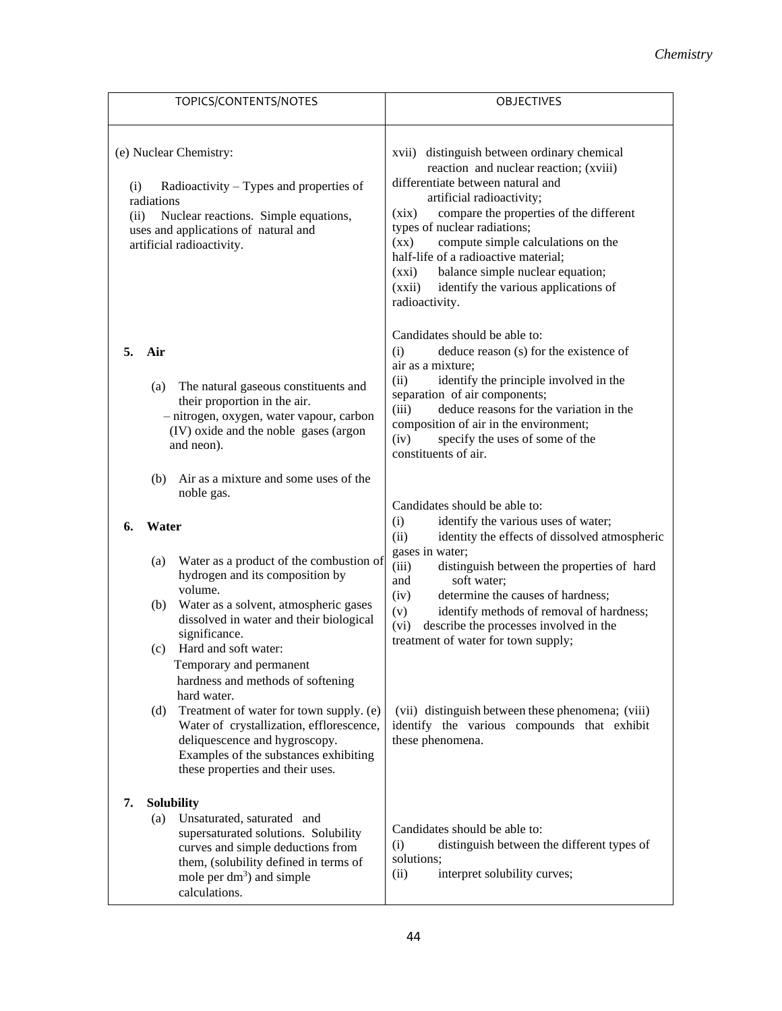|             | TOPICS/CONTENTS/NOTES                                                                                                                                                                                                                                           | <b>OBJECTIVES</b>                                                                                                                                                                                                                                                                                                                                                                                                                                                         |
|-------------|-----------------------------------------------------------------------------------------------------------------------------------------------------------------------------------------------------------------------------------------------------------------|---------------------------------------------------------------------------------------------------------------------------------------------------------------------------------------------------------------------------------------------------------------------------------------------------------------------------------------------------------------------------------------------------------------------------------------------------------------------------|
|             |                                                                                                                                                                                                                                                                 |                                                                                                                                                                                                                                                                                                                                                                                                                                                                           |
| (i)<br>(ii) | (e) Nuclear Chemistry:<br>Radioactivity – Types and properties of<br>radiations<br>Nuclear reactions. Simple equations,<br>uses and applications of natural and<br>artificial radioactivity.                                                                    | distinguish between ordinary chemical<br>xvii)<br>reaction and nuclear reaction; (xviii)<br>differentiate between natural and<br>artificial radioactivity;<br>(xix)<br>compare the properties of the different<br>types of nuclear radiations;<br>$(\mathbf{X}\mathbf{X})$<br>compute simple calculations on the<br>half-life of a radioactive material;<br>balance simple nuclear equation;<br>(xxi)<br>identify the various applications of<br>(xxii)<br>radioactivity. |
| 5.          | Air<br>(a) The natural gaseous constituents and<br>their proportion in the air.<br>- nitrogen, oxygen, water vapour, carbon<br>(IV) oxide and the noble gases (argon<br>and neon).                                                                              | Candidates should be able to:<br>(i)<br>deduce reason (s) for the existence of<br>air as a mixture;<br>identify the principle involved in the<br>(ii)<br>separation of air components;<br>(iii)<br>deduce reasons for the variation in the<br>composition of air in the environment;<br>(iv)<br>specify the uses of some of the<br>constituents of air.                                                                                                                   |
| 6.          | Air as a mixture and some uses of the<br>(b)<br>noble gas.<br>Water                                                                                                                                                                                             | Candidates should be able to:<br>identify the various uses of water;<br>(i)<br>identity the effects of dissolved atmospheric<br>(ii)                                                                                                                                                                                                                                                                                                                                      |
|             | Water as a product of the combustion of<br>(a)<br>hydrogen and its composition by<br>volume.<br>Water as a solvent, atmospheric gases<br>(b)<br>dissolved in water and their biological<br>significance.<br>(c) Hard and soft water:<br>Temporary and permanent | gases in water;<br>(iii)<br>distinguish between the properties of hard<br>and<br>soft water;<br>determine the causes of hardness;<br>(iv)<br>identify methods of removal of hardness;<br>(v)<br>describe the processes involved in the<br>(vi)<br>treatment of water for town supply;                                                                                                                                                                                     |
|             | hardness and methods of softening<br>hard water.<br>(d) Treatment of water for town supply. (e)<br>Water of crystallization, efflorescence,<br>deliquescence and hygroscopy.<br>Examples of the substances exhibiting<br>these properties and their uses.       | (vii) distinguish between these phenomena; (viii)<br>identify the various compounds that exhibit<br>these phenomena.                                                                                                                                                                                                                                                                                                                                                      |
| 7.          | <b>Solubility</b><br>Unsaturated, saturated and<br>(a)<br>supersaturated solutions. Solubility<br>curves and simple deductions from<br>them, (solubility defined in terms of<br>mole per $dm^3$ ) and simple<br>calculations.                                   | Candidates should be able to:<br>distinguish between the different types of<br>(i)<br>solutions;<br>interpret solubility curves;<br>(ii)                                                                                                                                                                                                                                                                                                                                  |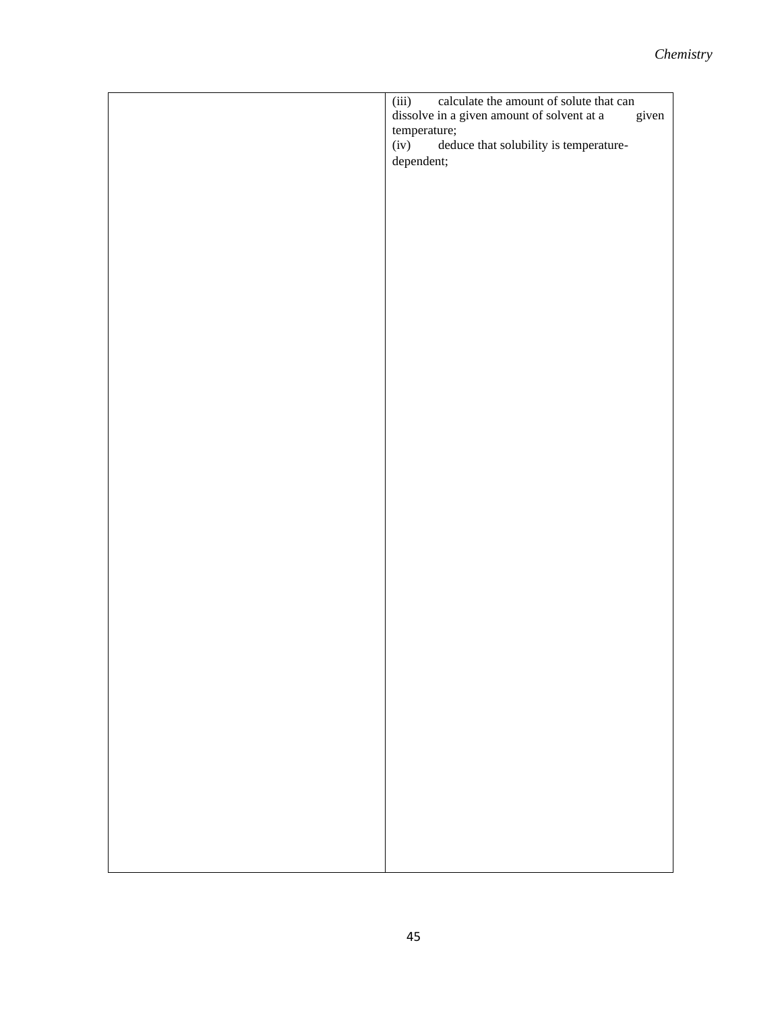| calculate the amount of solute that can<br>(iii)    |
|-----------------------------------------------------|
| dissolve in a given amount of solvent at a<br>given |
| temperature;                                        |
| deduce that solubility is temperature-<br>(iv)      |
| dependent;                                          |
|                                                     |
|                                                     |
|                                                     |
|                                                     |
|                                                     |
|                                                     |
|                                                     |
|                                                     |
|                                                     |
|                                                     |
|                                                     |
|                                                     |
|                                                     |
|                                                     |
|                                                     |
|                                                     |
|                                                     |
|                                                     |
|                                                     |
|                                                     |
|                                                     |
|                                                     |
|                                                     |
|                                                     |
|                                                     |
|                                                     |
|                                                     |
|                                                     |
|                                                     |
|                                                     |
|                                                     |
|                                                     |
|                                                     |
|                                                     |
|                                                     |
|                                                     |
|                                                     |
|                                                     |
|                                                     |
|                                                     |
|                                                     |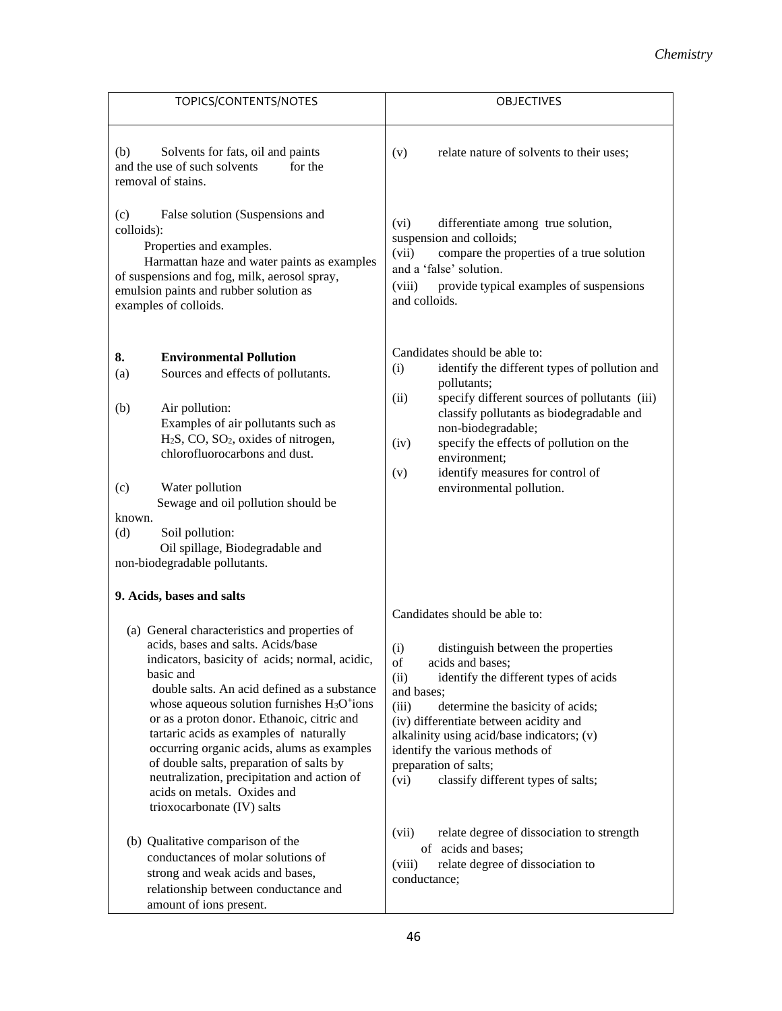| TOPICS/CONTENTS/NOTES                                                                                                                                                                                                                                                                                                                                                                                                                                                                                                                                                            | <b>OBJECTIVES</b>                                                                                                                                                                                                                                                                                                                                                                                                                                                        |
|----------------------------------------------------------------------------------------------------------------------------------------------------------------------------------------------------------------------------------------------------------------------------------------------------------------------------------------------------------------------------------------------------------------------------------------------------------------------------------------------------------------------------------------------------------------------------------|--------------------------------------------------------------------------------------------------------------------------------------------------------------------------------------------------------------------------------------------------------------------------------------------------------------------------------------------------------------------------------------------------------------------------------------------------------------------------|
| Solvents for fats, oil and paints<br>(b)<br>and the use of such solvents<br>for the<br>removal of stains.                                                                                                                                                                                                                                                                                                                                                                                                                                                                        | relate nature of solvents to their uses;<br>(v)                                                                                                                                                                                                                                                                                                                                                                                                                          |
| (c)<br>False solution (Suspensions and<br>colloids):<br>Properties and examples.<br>Harmattan haze and water paints as examples<br>of suspensions and fog, milk, aerosol spray,<br>emulsion paints and rubber solution as<br>examples of colloids.                                                                                                                                                                                                                                                                                                                               | (vi)<br>differentiate among true solution,<br>suspension and colloids;<br>compare the properties of a true solution<br>(vii)<br>and a 'false' solution.<br>provide typical examples of suspensions<br>(viii)<br>and colloids.                                                                                                                                                                                                                                            |
| 8.<br><b>Environmental Pollution</b><br>Sources and effects of pollutants.<br>(a)<br>Air pollution:<br>(b)<br>Examples of air pollutants such as<br>H <sub>2</sub> S, CO, SO <sub>2</sub> , oxides of nitrogen,<br>chlorofluorocarbons and dust.<br>Water pollution<br>(c)<br>Sewage and oil pollution should be<br>known.<br>Soil pollution:<br>(d)<br>Oil spillage, Biodegradable and<br>non-biodegradable pollutants.                                                                                                                                                         | Candidates should be able to:<br>identify the different types of pollution and<br>(i)<br>pollutants;<br>specify different sources of pollutants (iii)<br>(ii)<br>classify pollutants as biodegradable and<br>non-biodegradable;<br>specify the effects of pollution on the<br>(iv)<br>environment;<br>identify measures for control of<br>(v)<br>environmental pollution.                                                                                                |
| 9. Acids, bases and salts<br>(a) General characteristics and properties of<br>acids, bases and salts. Acids/base<br>indicators, basicity of acids; normal, acidic,<br>basic and<br>double salts. An acid defined as a substance<br>whose aqueous solution furnishes $H_3O^+$ ions<br>or as a proton donor. Ethanoic, citric and<br>tartaric acids as examples of naturally<br>occurring organic acids, alums as examples<br>of double salts, preparation of salts by<br>neutralization, precipitation and action of<br>acids on metals. Oxides and<br>trioxocarbonate (IV) salts | Candidates should be able to:<br>(i)<br>distinguish between the properties<br>of<br>acids and bases;<br>(ii)<br>identify the different types of acids<br>and bases;<br>(iii)<br>determine the basicity of acids;<br>(iv) differentiate between acidity and<br>alkalinity using acid/base indicators; (v)<br>identify the various methods of<br>preparation of salts;<br>(vi)<br>classify different types of salts;<br>relate degree of dissociation to strength<br>(vii) |
| (b) Qualitative comparison of the<br>conductances of molar solutions of<br>strong and weak acids and bases,<br>relationship between conductance and<br>amount of ions present.                                                                                                                                                                                                                                                                                                                                                                                                   | of acids and bases;<br>relate degree of dissociation to<br>(viii)<br>conductance;                                                                                                                                                                                                                                                                                                                                                                                        |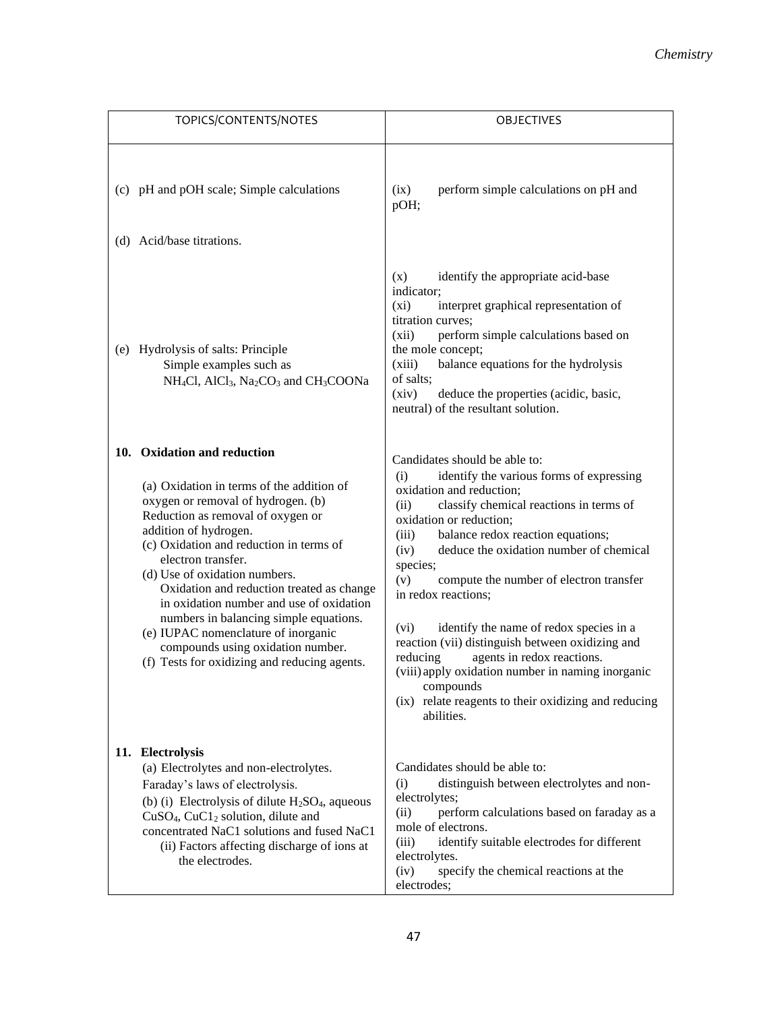| TOPICS/CONTENTS/NOTES                                                                                                                                                                                                                                                                                                                                                                                                                                                                                                                         | <b>OBJECTIVES</b>                                                                                                                                                                                                                                                                                                                                                                                                                                                                                                                                                                                                                                                         |
|-----------------------------------------------------------------------------------------------------------------------------------------------------------------------------------------------------------------------------------------------------------------------------------------------------------------------------------------------------------------------------------------------------------------------------------------------------------------------------------------------------------------------------------------------|---------------------------------------------------------------------------------------------------------------------------------------------------------------------------------------------------------------------------------------------------------------------------------------------------------------------------------------------------------------------------------------------------------------------------------------------------------------------------------------------------------------------------------------------------------------------------------------------------------------------------------------------------------------------------|
| (c) pH and pOH scale; Simple calculations<br>(d) Acid/base titrations.                                                                                                                                                                                                                                                                                                                                                                                                                                                                        | perform simple calculations on pH and<br>(ix)<br>pOH;                                                                                                                                                                                                                                                                                                                                                                                                                                                                                                                                                                                                                     |
| (e) Hydrolysis of salts: Principle<br>Simple examples such as<br>NH <sub>4</sub> Cl, AlCl <sub>3</sub> , Na <sub>2</sub> CO <sub>3</sub> and CH <sub>3</sub> COONa                                                                                                                                                                                                                                                                                                                                                                            | identify the appropriate acid-base<br>(x)<br>indicator;<br>(xi)<br>interpret graphical representation of<br>titration curves;<br>(xii)<br>perform simple calculations based on<br>the mole concept;<br>balance equations for the hydrolysis<br>(xiii)<br>of salts;<br>(xiv)<br>deduce the properties (acidic, basic,<br>neutral) of the resultant solution.                                                                                                                                                                                                                                                                                                               |
| 10. Oxidation and reduction<br>(a) Oxidation in terms of the addition of<br>oxygen or removal of hydrogen. (b)<br>Reduction as removal of oxygen or<br>addition of hydrogen.<br>(c) Oxidation and reduction in terms of<br>electron transfer.<br>(d) Use of oxidation numbers.<br>Oxidation and reduction treated as change<br>in oxidation number and use of oxidation<br>numbers in balancing simple equations.<br>(e) IUPAC nomenclature of inorganic<br>compounds using oxidation number.<br>(f) Tests for oxidizing and reducing agents. | Candidates should be able to:<br>identify the various forms of expressing<br>(i)<br>oxidation and reduction;<br>classify chemical reactions in terms of<br>(ii)<br>oxidation or reduction;<br>(iii)<br>balance redox reaction equations;<br>deduce the oxidation number of chemical<br>(iv)<br>species;<br>(v)<br>compute the number of electron transfer<br>in redox reactions;<br>identify the name of redox species in a<br>(vi)<br>reaction (vii) distinguish between oxidizing and<br>reducing<br>agents in redox reactions.<br>(viii) apply oxidation number in naming inorganic<br>compounds<br>(ix) relate reagents to their oxidizing and reducing<br>abilities. |
| 11. Electrolysis<br>(a) Electrolytes and non-electrolytes.<br>Faraday's laws of electrolysis.<br>(b) (i) Electrolysis of dilute $H_2SO_4$ , aqueous<br>$CuSO4$ , $CuCl2$ solution, dilute and<br>concentrated NaC1 solutions and fused NaC1<br>(ii) Factors affecting discharge of ions at<br>the electrodes.                                                                                                                                                                                                                                 | Candidates should be able to:<br>distinguish between electrolytes and non-<br>(i)<br>electrolytes;<br>(ii)<br>perform calculations based on faraday as a<br>mole of electrons.<br>(iii)<br>identify suitable electrodes for different<br>electrolytes.<br>specify the chemical reactions at the<br>(iv)<br>electrodes;                                                                                                                                                                                                                                                                                                                                                    |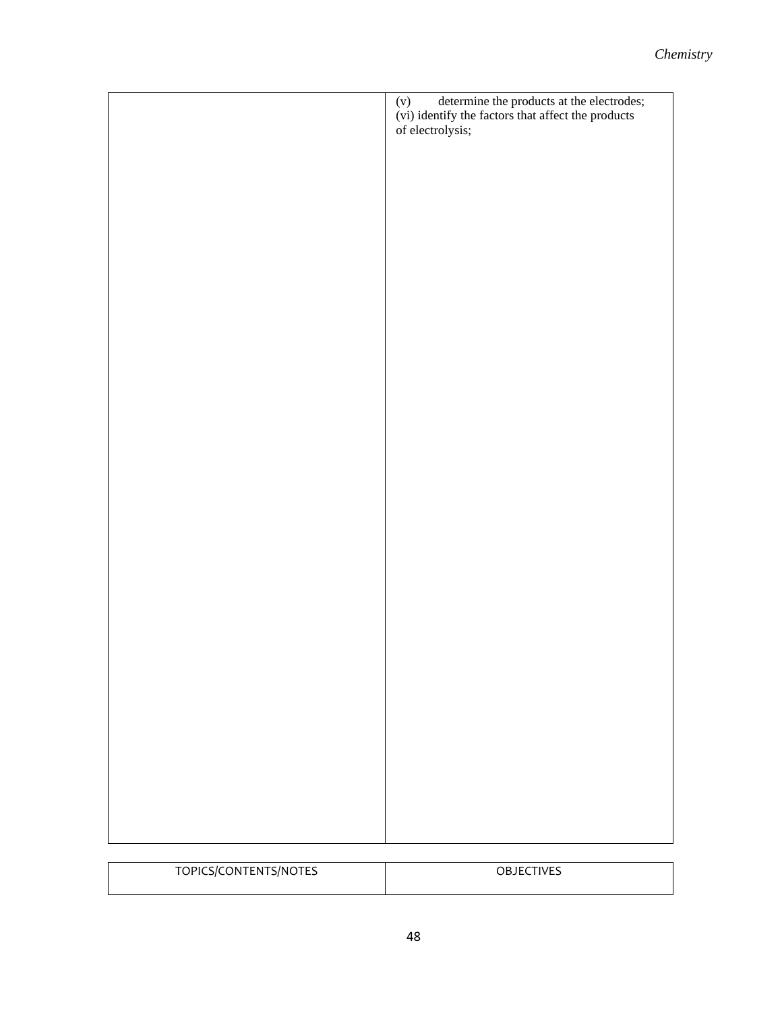| (v) determine the products at the electrodes;<br>(vi) identify the factors that affect the products<br>of electrolysis; |
|-------------------------------------------------------------------------------------------------------------------------|
|                                                                                                                         |
|                                                                                                                         |
|                                                                                                                         |
|                                                                                                                         |
|                                                                                                                         |
|                                                                                                                         |
|                                                                                                                         |
|                                                                                                                         |
|                                                                                                                         |
|                                                                                                                         |
|                                                                                                                         |
|                                                                                                                         |
|                                                                                                                         |
|                                                                                                                         |
|                                                                                                                         |

| TOPICS/CONTENTS/NOTES | OBJECTIVES |
|-----------------------|------------|
|                       |            |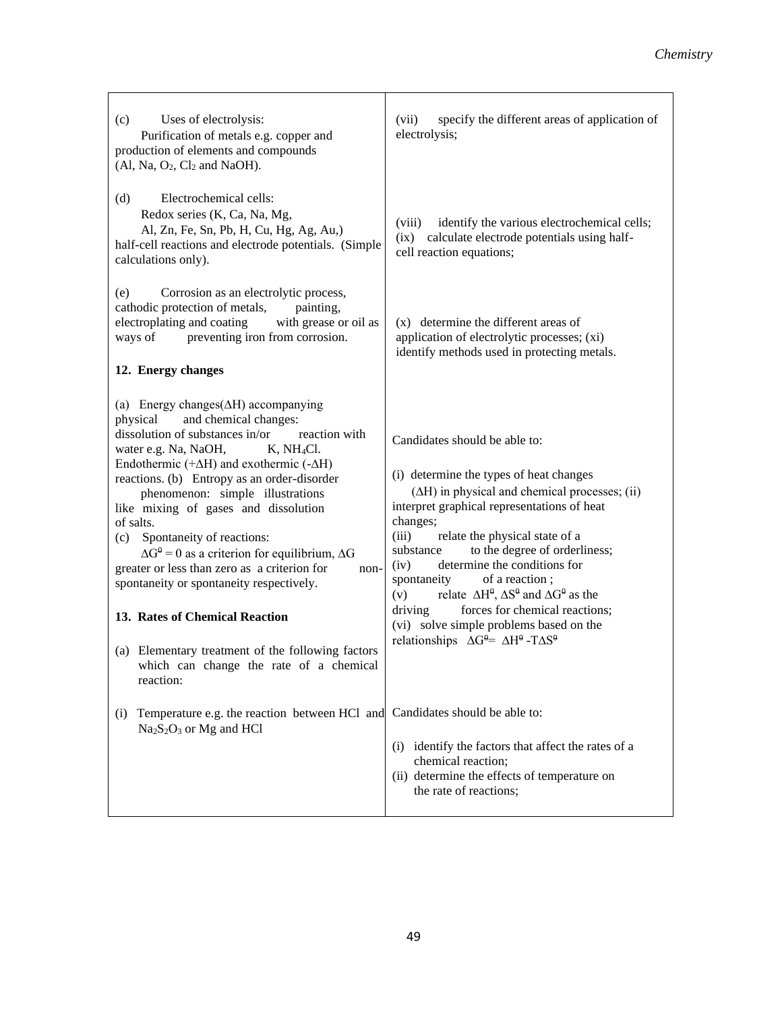| Uses of electrolysis:<br>(c)<br>Purification of metals e.g. copper and<br>production of elements and compounds<br>$(Al, Na, O2, Cl2 and NaOH).$                                                                                                                                                                                                                                                                                                                                                                                                                                                                                                                                                                                                               | specify the different areas of application of<br>(vii)<br>electrolysis;                                                                                                                                                                                                                                                                                                                                                                                                                                                                                                                                                        |
|---------------------------------------------------------------------------------------------------------------------------------------------------------------------------------------------------------------------------------------------------------------------------------------------------------------------------------------------------------------------------------------------------------------------------------------------------------------------------------------------------------------------------------------------------------------------------------------------------------------------------------------------------------------------------------------------------------------------------------------------------------------|--------------------------------------------------------------------------------------------------------------------------------------------------------------------------------------------------------------------------------------------------------------------------------------------------------------------------------------------------------------------------------------------------------------------------------------------------------------------------------------------------------------------------------------------------------------------------------------------------------------------------------|
| Electrochemical cells:<br>(d)<br>Redox series (K, Ca, Na, Mg,<br>Al, Zn, Fe, Sn, Pb, H, Cu, Hg, Ag, Au,)<br>half-cell reactions and electrode potentials. (Simple<br>calculations only).                                                                                                                                                                                                                                                                                                                                                                                                                                                                                                                                                                      | (viii)<br>identify the various electrochemical cells;<br>(ix) calculate electrode potentials using half-<br>cell reaction equations;                                                                                                                                                                                                                                                                                                                                                                                                                                                                                           |
| Corrosion as an electrolytic process,<br>(e)<br>cathodic protection of metals,<br>painting,<br>electroplating and coating<br>with grease or oil as<br>preventing iron from corrosion.<br>ways of<br>12. Energy changes                                                                                                                                                                                                                                                                                                                                                                                                                                                                                                                                        | (x) determine the different areas of<br>application of electrolytic processes; (xi)<br>identify methods used in protecting metals.                                                                                                                                                                                                                                                                                                                                                                                                                                                                                             |
| (a) Energy changes $(\Delta H)$ accompanying<br>and chemical changes:<br>physical<br>dissolution of substances in/or<br>reaction with<br>water e.g. Na, NaOH,<br>$K$ , NH <sub>4</sub> Cl.<br>Endothermic (+ $\Delta H$ ) and exothermic (- $\Delta H$ )<br>reactions. (b) Entropy as an order-disorder<br>phenomenon: simple illustrations<br>like mixing of gases and dissolution<br>of salts.<br>Spontaneity of reactions:<br>(c)<br>$\Delta G^{\theta} = 0$ as a criterion for equilibrium, $\Delta G$<br>greater or less than zero as a criterion for<br>non-<br>spontaneity or spontaneity respectively.<br>13. Rates of Chemical Reaction<br>(a) Elementary treatment of the following factors<br>which can change the rate of a chemical<br>reaction: | Candidates should be able to:<br>(i) determine the types of heat changes<br>$(\Delta H)$ in physical and chemical processes; (ii)<br>interpret graphical representations of heat<br>changes;<br>relate the physical state of a<br>(iii)<br>to the degree of orderliness;<br>substance<br>determine the conditions for<br>(iv)<br>of a reaction;<br>spontaneity<br>relate $\Delta H^{\theta}$ , $\Delta S^{\theta}$ and $\Delta G^{\theta}$ as the<br>(v)<br>forces for chemical reactions;<br>driving<br>(vi) solve simple problems based on the<br>relationships $\Delta G^{\theta=}\Delta H^{\theta}$ -T $\Delta S^{\theta}$ |
| Temperature e.g. the reaction between HCl and<br>(i)<br>$Na2S2O3$ or Mg and HCl                                                                                                                                                                                                                                                                                                                                                                                                                                                                                                                                                                                                                                                                               | Candidates should be able to:<br>(i) identify the factors that affect the rates of a<br>chemical reaction;<br>(ii) determine the effects of temperature on<br>the rate of reactions;                                                                                                                                                                                                                                                                                                                                                                                                                                           |

Г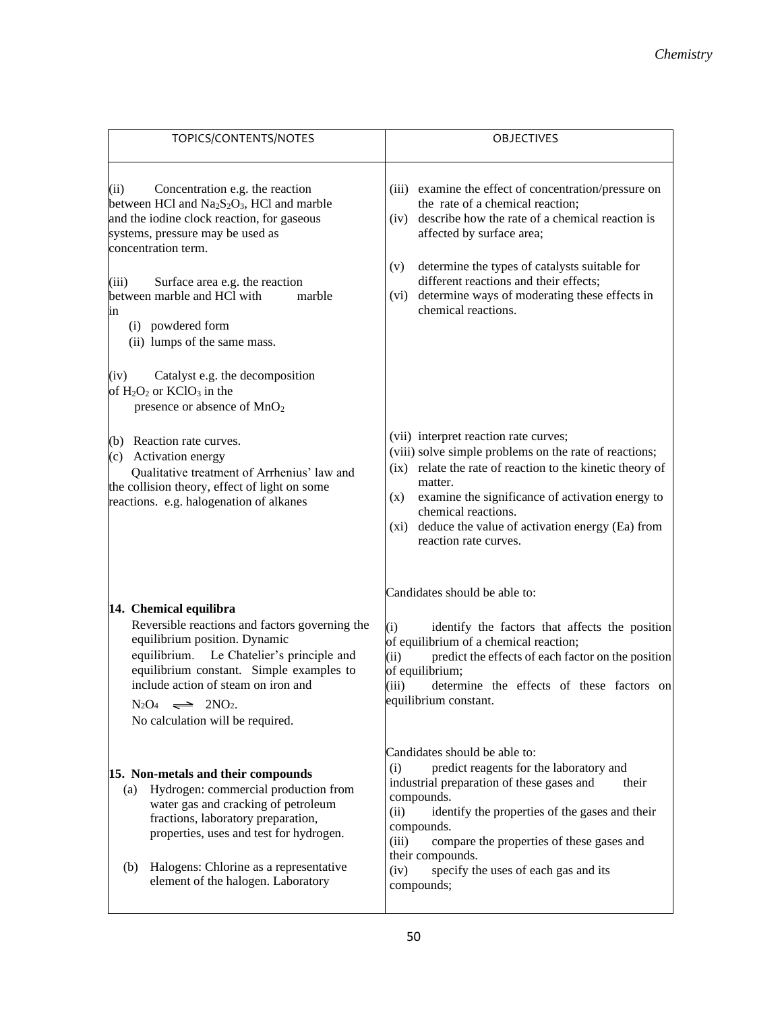| TOPICS/CONTENTS/NOTES                                                                                                                                                                                                                                                                                                                         | <b>OBJECTIVES</b>                                                                                                                                                                                                                                                                                                                                                   |
|-----------------------------------------------------------------------------------------------------------------------------------------------------------------------------------------------------------------------------------------------------------------------------------------------------------------------------------------------|---------------------------------------------------------------------------------------------------------------------------------------------------------------------------------------------------------------------------------------------------------------------------------------------------------------------------------------------------------------------|
| (ii)<br>Concentration e.g. the reaction<br>between HCl and $Na2S2O3$ , HCl and marble<br>and the iodine clock reaction, for gaseous<br>systems, pressure may be used as<br>concentration term.<br>(iii)<br>Surface area e.g. the reaction<br>between marble and HCl with<br>marble<br>in<br>(i) powdered form<br>(ii) lumps of the same mass. | (iii) examine the effect of concentration/pressure on<br>the rate of a chemical reaction;<br>describe how the rate of a chemical reaction is<br>(iv)<br>affected by surface area;<br>determine the types of catalysts suitable for<br>(v)<br>different reactions and their effects;<br>determine ways of moderating these effects in<br>(vi)<br>chemical reactions. |
| Catalyst e.g. the decomposition<br>(iv)<br>of $H_2O_2$ or KClO <sub>3</sub> in the<br>presence or absence of MnO <sub>2</sub>                                                                                                                                                                                                                 |                                                                                                                                                                                                                                                                                                                                                                     |
| (b) Reaction rate curves.<br>(c) Activation energy<br>Qualitative treatment of Arrhenius' law and<br>the collision theory, effect of light on some<br>reactions. e.g. halogenation of alkanes                                                                                                                                                 | (vii) interpret reaction rate curves;<br>(viii) solve simple problems on the rate of reactions;<br>(ix) relate the rate of reaction to the kinetic theory of<br>matter.<br>examine the significance of activation energy to<br>(x)<br>chemical reactions.<br>deduce the value of activation energy (Ea) from<br>(xi)<br>reaction rate curves.                       |
| 14. Chemical equilibra<br>Reversible reactions and factors governing the<br>equilibrium position. Dynamic<br>equilibrium. Le Chatelier's principle and<br>equilibrium constant. Simple examples to<br>include action of steam on iron and<br>$N_2O_4 \implies 2NO_2$ .<br>No calculation will be required.                                    | Candidates should be able to:<br>identify the factors that affects the position<br>(i)<br>of equilibrium of a chemical reaction;<br>(ii)<br>predict the effects of each factor on the position<br>of equilibrium;<br>determine the effects of these factors on<br>(iii)<br>equilibrium constant.                                                                    |
| 15. Non-metals and their compounds<br>(a) Hydrogen: commercial production from<br>water gas and cracking of petroleum<br>fractions, laboratory preparation,<br>properties, uses and test for hydrogen.<br>Halogens: Chlorine as a representative<br>(b)<br>element of the halogen. Laboratory                                                 | Candidates should be able to:<br>predict reagents for the laboratory and<br>(i)<br>industrial preparation of these gases and<br>their<br>compounds.<br>(ii)<br>identify the properties of the gases and their<br>compounds.<br>(iii)<br>compare the properties of these gases and<br>their compounds.<br>specify the uses of each gas and its<br>(iv)<br>compounds; |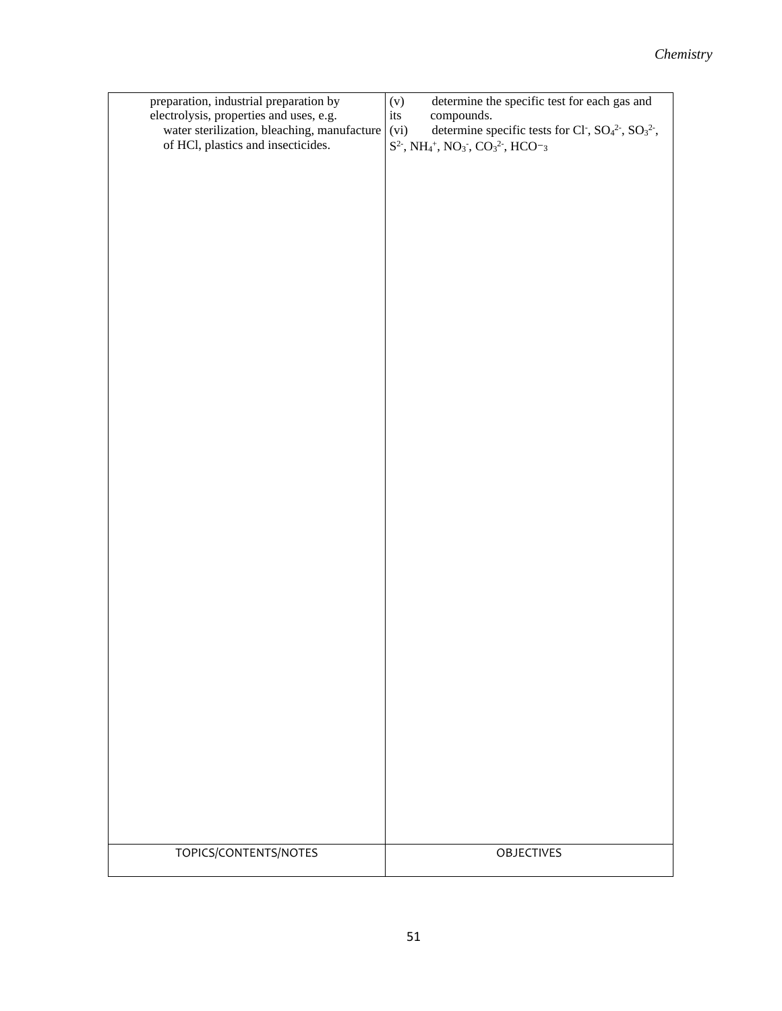| preparation, industrial preparation by<br>electrolysis, properties and uses, e.g.<br>water sterilization, bleaching, manufacture<br>of HCl, plastics and insecticides. | determine the specific test for each gas and<br>(v)<br>compounds.<br>its<br>determine specific tests for Cl <sup>-</sup> , $SO_4^2$ <sup>2-</sup> , $SO_3^2$ <sup>2</sup> -,<br>(vi)<br>$\mathrm{S}^2$ , $\mathrm{NH_4^{+}},\mathrm{NO_3^{-}},\mathrm{CO_3^{2-}},\mathrm{HCO^-_3}$ |
|------------------------------------------------------------------------------------------------------------------------------------------------------------------------|------------------------------------------------------------------------------------------------------------------------------------------------------------------------------------------------------------------------------------------------------------------------------------|
|                                                                                                                                                                        |                                                                                                                                                                                                                                                                                    |
|                                                                                                                                                                        |                                                                                                                                                                                                                                                                                    |
|                                                                                                                                                                        |                                                                                                                                                                                                                                                                                    |
|                                                                                                                                                                        |                                                                                                                                                                                                                                                                                    |
|                                                                                                                                                                        |                                                                                                                                                                                                                                                                                    |
|                                                                                                                                                                        |                                                                                                                                                                                                                                                                                    |
|                                                                                                                                                                        |                                                                                                                                                                                                                                                                                    |
|                                                                                                                                                                        |                                                                                                                                                                                                                                                                                    |
|                                                                                                                                                                        |                                                                                                                                                                                                                                                                                    |
|                                                                                                                                                                        |                                                                                                                                                                                                                                                                                    |
| TOPICS/CONTENTS/NOTES                                                                                                                                                  | OBJECTIVES                                                                                                                                                                                                                                                                         |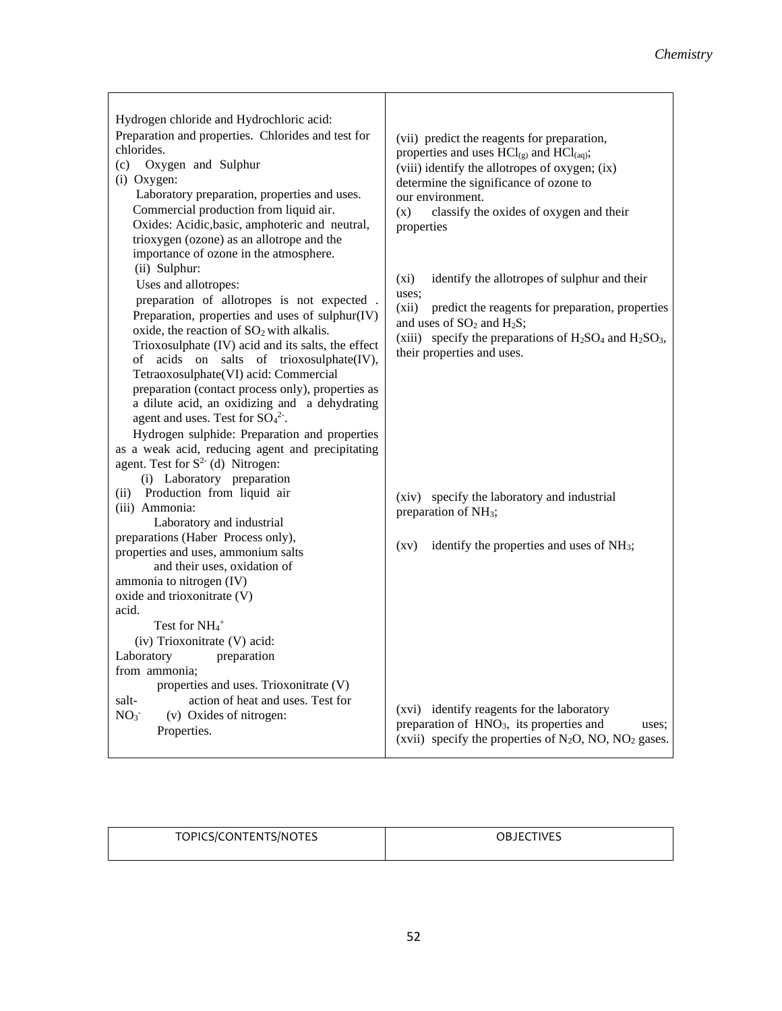| Hydrogen chloride and Hydrochloric acid:<br>Preparation and properties. Chlorides and test for<br>chlorides.<br>(c) Oxygen and Sulphur<br>(i) Oxygen:<br>Laboratory preparation, properties and uses.<br>Commercial production from liquid air.<br>Oxides: Acidic, basic, amphoteric and neutral,<br>trioxygen (ozone) as an allotrope and the<br>importance of ozone in the atmosphere.                                                                                                                                                                                                                                                               | (vii) predict the reagents for preparation,<br>properties and uses $HCl_{(g)}$ and $HCl_{(aq)}$ ;<br>(viii) identify the allotropes of oxygen; (ix)<br>determine the significance of ozone to<br>our environment.<br>(x)<br>classify the oxides of oxygen and their<br>properties |
|--------------------------------------------------------------------------------------------------------------------------------------------------------------------------------------------------------------------------------------------------------------------------------------------------------------------------------------------------------------------------------------------------------------------------------------------------------------------------------------------------------------------------------------------------------------------------------------------------------------------------------------------------------|-----------------------------------------------------------------------------------------------------------------------------------------------------------------------------------------------------------------------------------------------------------------------------------|
| (ii) Sulphur:<br>Uses and allotropes:<br>preparation of allotropes is not expected.<br>Preparation, properties and uses of sulphur(IV)<br>oxide, the reaction of $SO2$ with alkalis.<br>Trioxosulphate (IV) acid and its salts, the effect<br>of acids on salts of trioxosulphate(IV),<br>Tetraoxosulphate(VI) acid: Commercial<br>preparation (contact process only), properties as<br>a dilute acid, an oxidizing and a dehydrating<br>agent and uses. Test for $SO_4^2$ .<br>Hydrogen sulphide: Preparation and properties<br>as a weak acid, reducing agent and precipitating<br>agent. Test for $S^2$ (d) Nitrogen:<br>(i) Laboratory preparation | identify the allotropes of sulphur and their<br>$(x_i)$<br>uses;<br>(xii)<br>predict the reagents for preparation, properties<br>and uses of $SO_2$ and $H_2S$ ;<br>(xiii) specify the preparations of $H_2SO_4$ and $H_2SO_3$ ,<br>their properties and uses.                    |
| Production from liquid air<br>(ii)<br>(iii) Ammonia:<br>Laboratory and industrial                                                                                                                                                                                                                                                                                                                                                                                                                                                                                                                                                                      | (xiv) specify the laboratory and industrial<br>preparation of NH <sub>3</sub> ;                                                                                                                                                                                                   |
| preparations (Haber Process only),<br>properties and uses, ammonium salts<br>and their uses, oxidation of<br>ammonia to nitrogen (IV)<br>oxide and trioxonitrate (V)                                                                                                                                                                                                                                                                                                                                                                                                                                                                                   | identify the properties and uses of NH <sub>3</sub> ;<br>$\left( xy\right)$                                                                                                                                                                                                       |
| acid.<br>Test for $NH_4$ <sup>+</sup><br>(iv) Trioxonitrate (V) acid:<br>preparation<br>Laboratory<br>from ammonia;<br>properties and uses. Trioxonitrate (V)                                                                                                                                                                                                                                                                                                                                                                                                                                                                                          |                                                                                                                                                                                                                                                                                   |
| action of heat and uses. Test for<br>salt-<br>NO <sub>3</sub><br>(v) Oxides of nitrogen:<br>Properties.                                                                                                                                                                                                                                                                                                                                                                                                                                                                                                                                                | (xvi) identify reagents for the laboratory<br>preparation of HNO <sub>3</sub> , its properties and<br>uses:<br>(xvii) specify the properties of $N_2O$ , NO, NO <sub>2</sub> gases.                                                                                               |

| TOPICS/CONTENTS/NOTES | OBJECTIVES |
|-----------------------|------------|
|                       |            |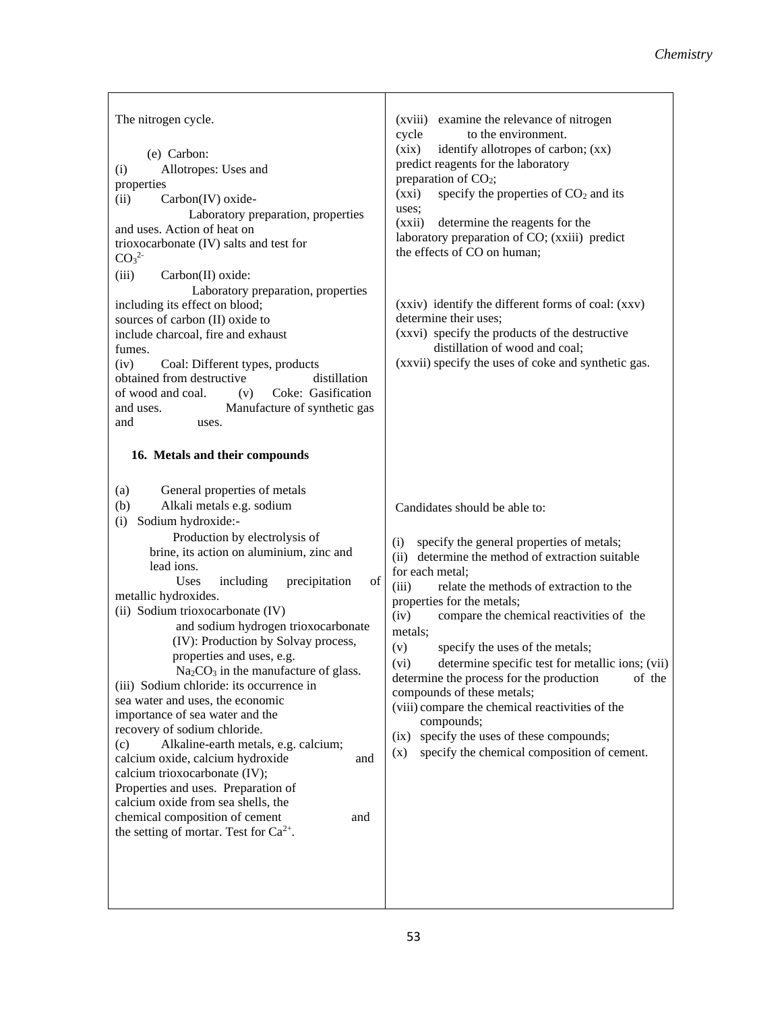| The nitrogen cycle.<br>(e) Carbon:<br>(i)<br>Allotropes: Uses and<br>properties<br>Carbon(IV) oxide-<br>(ii)<br>Laboratory preparation, properties<br>and uses. Action of heat on<br>trioxocarbonate (IV) salts and test for<br>CO <sub>3</sub> <sup>2</sup><br>(iii)<br>Carbon(II) oxide:<br>Laboratory preparation, properties<br>including its effect on blood;<br>sources of carbon (II) oxide to<br>include charcoal, fire and exhaust<br>fumes.<br>(iv)<br>Coal: Different types, products<br>obtained from destructive<br>distillation<br>of wood and coal.<br>Coke: Gasification<br>(v)<br>Manufacture of synthetic gas<br>and uses.<br>and<br>uses.<br>16. Metals and their compounds                                                                                                                                                                                                                 | (xviii) examine the relevance of nitrogen<br>to the environment.<br>cycle<br>(xix)<br>identify allotropes of carbon; (xx)<br>predict reagents for the laboratory<br>preparation of CO <sub>2</sub> ;<br>specify the properties of $CO2$ and its<br>(xxi)<br>uses;<br>(xxii)<br>determine the reagents for the<br>laboratory preparation of CO; (xxiii) predict<br>the effects of CO on human;<br>(xxiv) identify the different forms of coal: (xxv)<br>determine their uses;<br>(xxvi) specify the products of the destructive<br>distillation of wood and coal;<br>(xxvii) specify the uses of coke and synthetic gas.                                                    |
|----------------------------------------------------------------------------------------------------------------------------------------------------------------------------------------------------------------------------------------------------------------------------------------------------------------------------------------------------------------------------------------------------------------------------------------------------------------------------------------------------------------------------------------------------------------------------------------------------------------------------------------------------------------------------------------------------------------------------------------------------------------------------------------------------------------------------------------------------------------------------------------------------------------|----------------------------------------------------------------------------------------------------------------------------------------------------------------------------------------------------------------------------------------------------------------------------------------------------------------------------------------------------------------------------------------------------------------------------------------------------------------------------------------------------------------------------------------------------------------------------------------------------------------------------------------------------------------------------|
| General properties of metals<br>(a)<br>(b)<br>Alkali metals e.g. sodium<br>Sodium hydroxide:-<br>(i)<br>Production by electrolysis of<br>brine, its action on aluminium, zinc and<br>lead ions.<br>of<br>including<br>Uses<br>precipitation<br>metallic hydroxides.<br>(ii) Sodium trioxocarbonate (IV)<br>and sodium hydrogen trioxocarbonate<br>(IV): Production by Solvay process,<br>properties and uses, e.g.<br>$Na2CO3$ in the manufacture of glass.<br>(iii) Sodium chloride: its occurrence in<br>sea water and uses, the economic<br>importance of sea water and the<br>recovery of sodium chloride.<br>Alkaline-earth metals, e.g. calcium;<br>(c)<br>calcium oxide, calcium hydroxide<br>and<br>calcium trioxocarbonate (IV);<br>Properties and uses. Preparation of<br>calcium oxide from sea shells, the<br>chemical composition of cement<br>and<br>the setting of mortar. Test for $Ca^{2+}$ . | Candidates should be able to:<br>specify the general properties of metals;<br>(i)<br>(ii) determine the method of extraction suitable<br>for each metal;<br>(iii)<br>relate the methods of extraction to the<br>properties for the metals;<br>compare the chemical reactivities of the<br>(iv)<br>metals;<br>specify the uses of the metals;<br>(v)<br>(vi)<br>determine specific test for metallic ions; (vii)<br>determine the process for the production<br>of the<br>compounds of these metals;<br>(viii) compare the chemical reactivities of the<br>compounds;<br>specify the uses of these compounds;<br>(ix)<br>specify the chemical composition of cement.<br>(x) |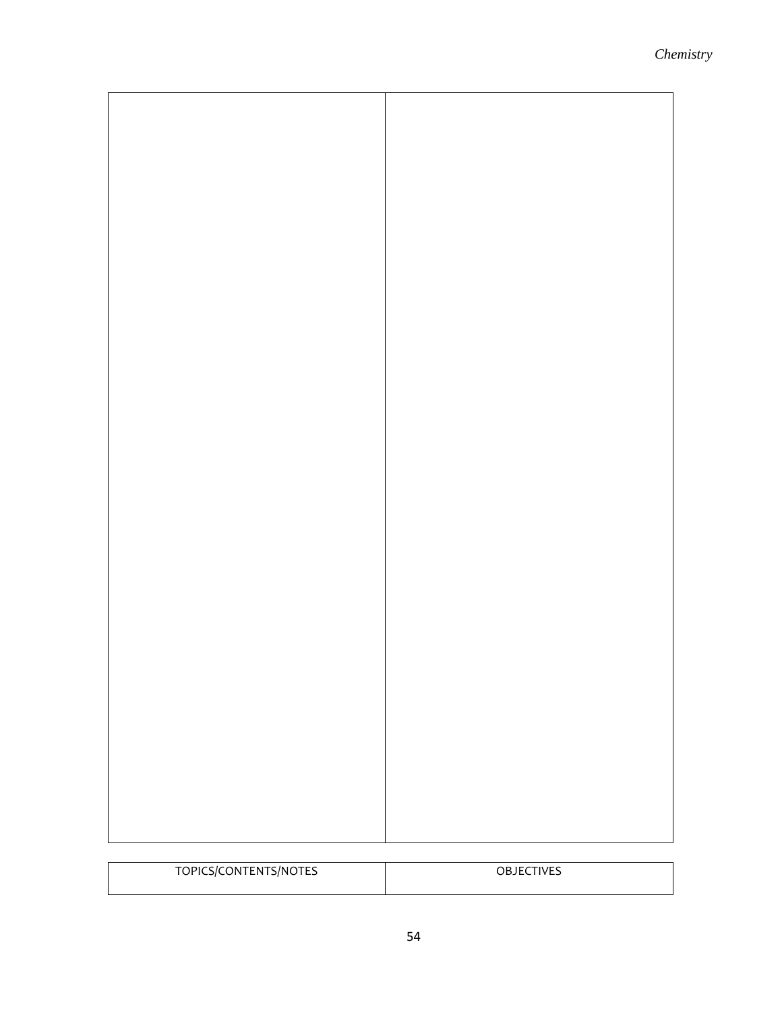

| TOPICS/CONTENTS/NOTES | OBJECTIVES |
|-----------------------|------------|
|                       |            |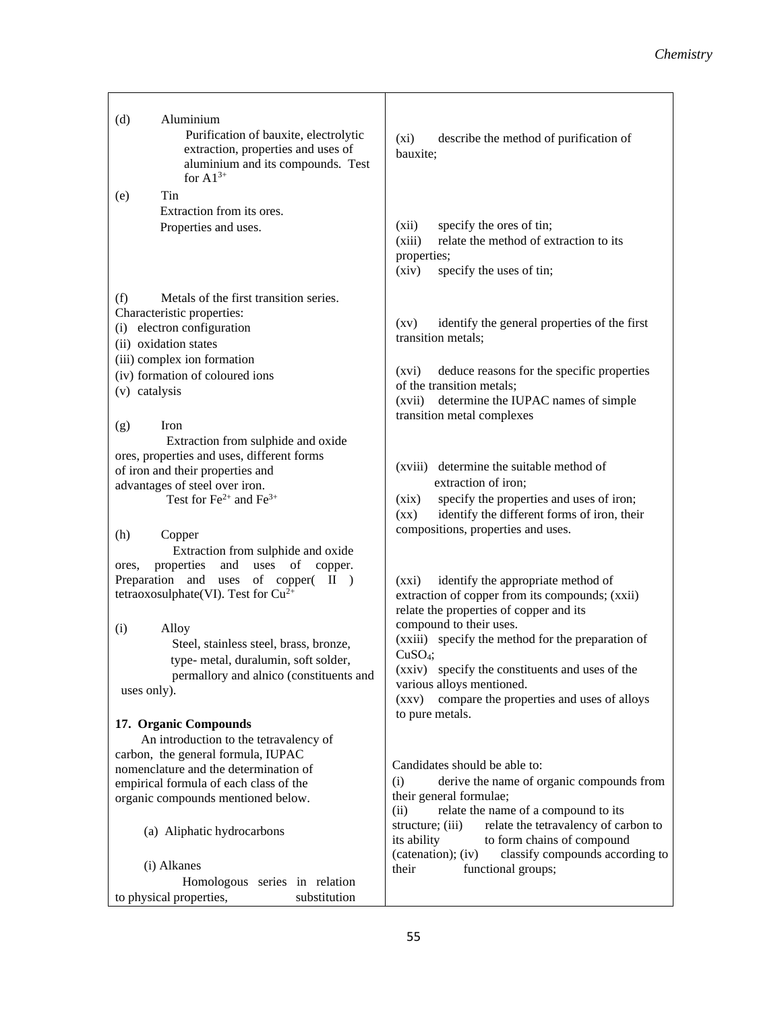| (d)<br>Aluminium<br>Purification of bauxite, electrolytic<br>extraction, properties and uses of<br>aluminium and its compounds. Test<br>for $A1^{3+}$                                                                 | describe the method of purification of<br>$(x_i)$<br>bauxite:                                                                                                                                                                         |
|-----------------------------------------------------------------------------------------------------------------------------------------------------------------------------------------------------------------------|---------------------------------------------------------------------------------------------------------------------------------------------------------------------------------------------------------------------------------------|
| Tin<br>(e)<br>Extraction from its ores.<br>Properties and uses.                                                                                                                                                       | specify the ores of tin;<br>(xii)<br>relate the method of extraction to its<br>(xiii)<br>properties;<br>(xiv)<br>specify the uses of tin;                                                                                             |
| Metals of the first transition series.<br>(f)<br>Characteristic properties:<br>(i) electron configuration<br>(ii) oxidation states<br>(iii) complex ion formation<br>(iv) formation of coloured ions<br>(v) catalysis | identify the general properties of the first<br>$\left( xy\right)$<br>transition metals;<br>deduce reasons for the specific properties<br>(xvi)<br>of the transition metals;                                                          |
| Iron<br>(g)<br>Extraction from sulphide and oxide                                                                                                                                                                     | determine the IUPAC names of simple<br>(xvii)<br>transition metal complexes                                                                                                                                                           |
| ores, properties and uses, different forms<br>of iron and their properties and<br>advantages of steel over iron.<br>Test for $\text{Fe}^{2+}$ and $\text{Fe}^{3+}$                                                    | (xviii) determine the suitable method of<br>extraction of iron;<br>specify the properties and uses of iron;<br>(xix)<br>identify the different forms of iron, their<br>$(\mathbf{X}\mathbf{X})$<br>compositions, properties and uses. |
| (h)<br>Copper<br>Extraction from sulphide and oxide<br>of<br>properties<br>and uses<br>copper.<br>ores,<br>Preparation and uses of copper( II)                                                                        | identify the appropriate method of<br>(xxi)                                                                                                                                                                                           |
| tetraoxosulphate(VI). Test for $Cu^{2+}$<br>(i)<br>Alloy                                                                                                                                                              | extraction of copper from its compounds; (xxii)<br>relate the properties of copper and its<br>compound to their uses.<br>(xxiii) specify the method for the preparation of                                                            |
| Steel, stainless steel, brass, bronze,<br>type- metal, duralumin, soft solder,<br>permallory and alnico (constituents and<br>uses only).                                                                              | CuSO <sub>4</sub> ;<br>(xxiv) specify the constituents and uses of the<br>various alloys mentioned.<br>compare the properties and uses of alloys<br>(xxy)                                                                             |
| 17. Organic Compounds                                                                                                                                                                                                 | to pure metals.                                                                                                                                                                                                                       |
| An introduction to the tetravalency of<br>carbon, the general formula, IUPAC                                                                                                                                          |                                                                                                                                                                                                                                       |
| nomenclature and the determination of<br>empirical formula of each class of the<br>organic compounds mentioned below.                                                                                                 | Candidates should be able to:<br>derive the name of organic compounds from<br>(i)<br>their general formulae;<br>(ii)<br>relate the name of a compound to its                                                                          |
| (a) Aliphatic hydrocarbons                                                                                                                                                                                            | relate the tetravalency of carbon to<br>structure; (iii)<br>its ability<br>to form chains of compound<br>classify compounds according to<br>$(catenation)$ ; $(iv)$                                                                   |
| (i) Alkanes                                                                                                                                                                                                           | functional groups;<br>their                                                                                                                                                                                                           |
| Homologous series in relation                                                                                                                                                                                         |                                                                                                                                                                                                                                       |
| to physical properties,<br>substitution                                                                                                                                                                               |                                                                                                                                                                                                                                       |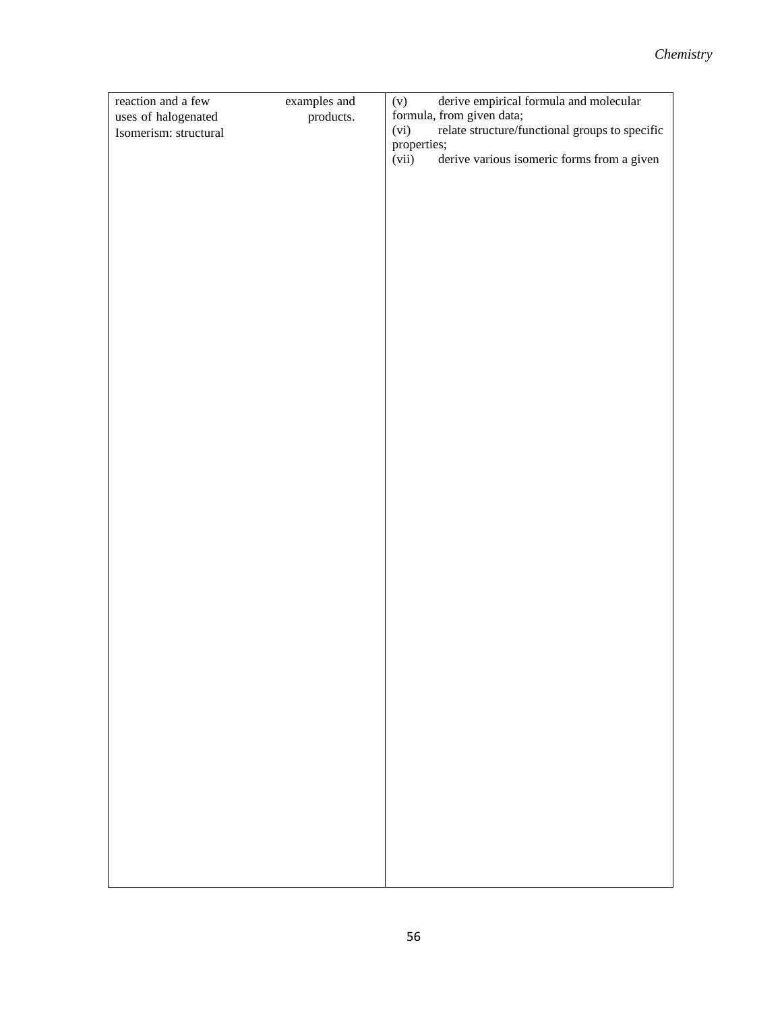| reaction and a few    | examples and | derive empirical formula and molecular<br>$\left( \mathbf{v}\right)$ |
|-----------------------|--------------|----------------------------------------------------------------------|
| uses of halogenated   | products.    | formula, from given data;                                            |
| Isomerism: structural |              | relate structure/functional groups to specific<br>(vi)               |
|                       |              | properties;                                                          |
|                       |              | derive various isomeric forms from a given<br>(vii)                  |
|                       |              |                                                                      |
|                       |              |                                                                      |
|                       |              |                                                                      |
|                       |              |                                                                      |
|                       |              |                                                                      |
|                       |              |                                                                      |
|                       |              |                                                                      |
|                       |              |                                                                      |
|                       |              |                                                                      |
|                       |              |                                                                      |
|                       |              |                                                                      |
|                       |              |                                                                      |
|                       |              |                                                                      |
|                       |              |                                                                      |
|                       |              |                                                                      |
|                       |              |                                                                      |
|                       |              |                                                                      |
|                       |              |                                                                      |
|                       |              |                                                                      |
|                       |              |                                                                      |
|                       |              |                                                                      |
|                       |              |                                                                      |
|                       |              |                                                                      |
|                       |              |                                                                      |
|                       |              |                                                                      |
|                       |              |                                                                      |
|                       |              |                                                                      |
|                       |              |                                                                      |
|                       |              |                                                                      |
|                       |              |                                                                      |
|                       |              |                                                                      |
|                       |              |                                                                      |
|                       |              |                                                                      |
|                       |              |                                                                      |
|                       |              |                                                                      |
|                       |              |                                                                      |
|                       |              |                                                                      |
|                       |              |                                                                      |
|                       |              |                                                                      |
|                       |              |                                                                      |
|                       |              |                                                                      |
|                       |              |                                                                      |
|                       |              |                                                                      |
|                       |              |                                                                      |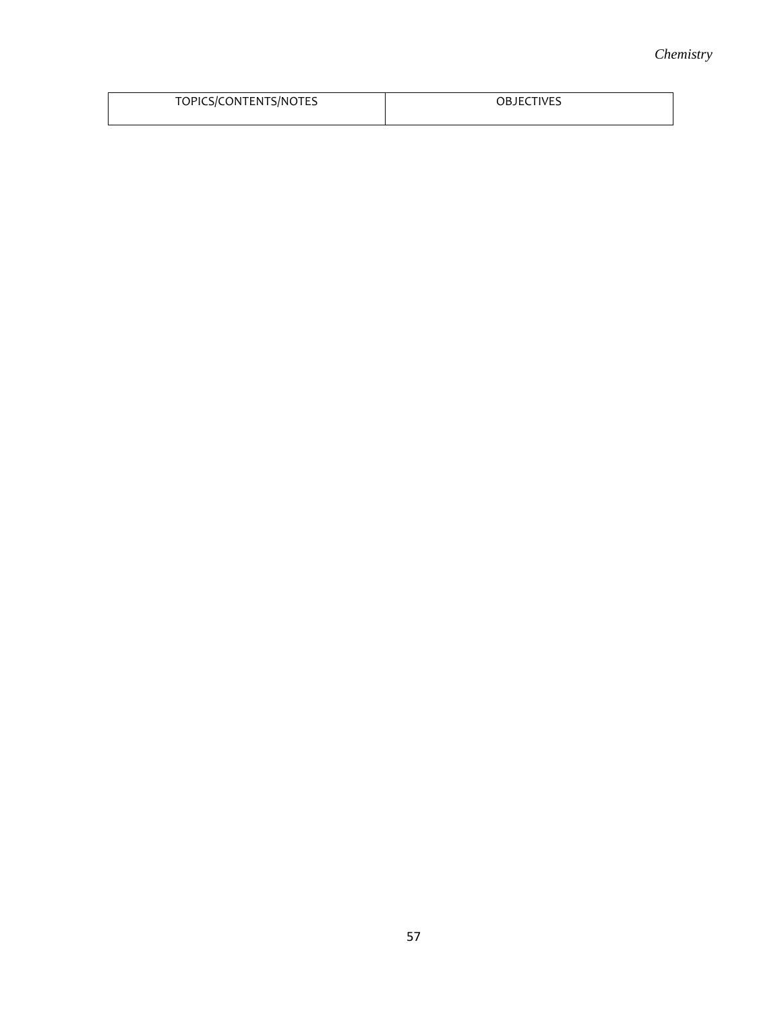| TOPICS/CONTENTS/NOTES | OBJECTIVES |
|-----------------------|------------|
|                       |            |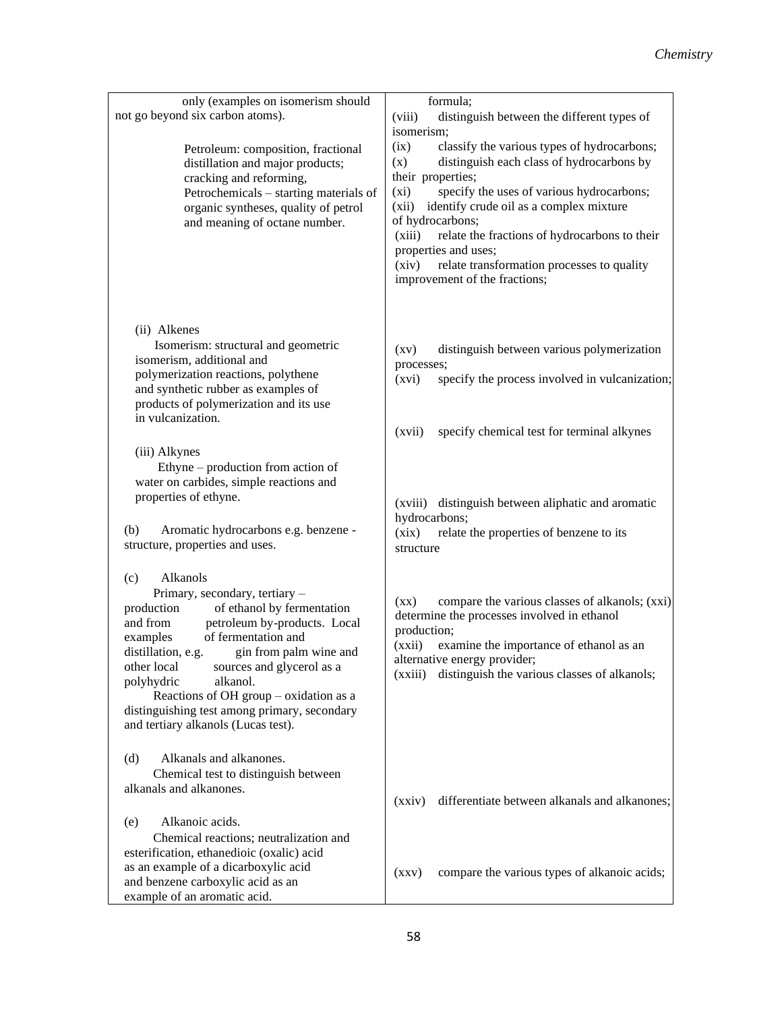| only (examples on isomerism should                                                                                                                                                                                                                                                                                                                                                                                                    | formula;                                                                                                                                                                                                                                                                                                                                                                                                                                |
|---------------------------------------------------------------------------------------------------------------------------------------------------------------------------------------------------------------------------------------------------------------------------------------------------------------------------------------------------------------------------------------------------------------------------------------|-----------------------------------------------------------------------------------------------------------------------------------------------------------------------------------------------------------------------------------------------------------------------------------------------------------------------------------------------------------------------------------------------------------------------------------------|
| not go beyond six carbon atoms).                                                                                                                                                                                                                                                                                                                                                                                                      | (viii)<br>distinguish between the different types of                                                                                                                                                                                                                                                                                                                                                                                    |
|                                                                                                                                                                                                                                                                                                                                                                                                                                       | isomerism;                                                                                                                                                                                                                                                                                                                                                                                                                              |
| Petroleum: composition, fractional<br>distillation and major products;<br>cracking and reforming,<br>Petrochemicals – starting materials of<br>organic syntheses, quality of petrol<br>and meaning of octane number.                                                                                                                                                                                                                  | classify the various types of hydrocarbons;<br>(ix)<br>distinguish each class of hydrocarbons by<br>(x)<br>their properties;<br>specify the uses of various hydrocarbons;<br>$(x_i)$<br>identify crude oil as a complex mixture<br>(xii)<br>of hydrocarbons;<br>(xiii)<br>relate the fractions of hydrocarbons to their<br>properties and uses;<br>relate transformation processes to quality<br>(xiv)<br>improvement of the fractions; |
| (ii) Alkenes<br>Isomerism: structural and geometric<br>isomerism, additional and<br>polymerization reactions, polythene<br>and synthetic rubber as examples of<br>products of polymerization and its use<br>in vulcanization.                                                                                                                                                                                                         | distinguish between various polymerization<br>$\left( xy\right)$<br>processes;<br>specify the process involved in vulcanization;<br>(xvi)                                                                                                                                                                                                                                                                                               |
|                                                                                                                                                                                                                                                                                                                                                                                                                                       | specify chemical test for terminal alkynes<br>(xvii)                                                                                                                                                                                                                                                                                                                                                                                    |
| (iii) Alkynes<br>Ethyne – production from action of<br>water on carbides, simple reactions and<br>properties of ethyne.<br>Aromatic hydrocarbons e.g. benzene -<br>(b)<br>structure, properties and uses.                                                                                                                                                                                                                             | (xviii)<br>distinguish between aliphatic and aromatic<br>hydrocarbons;<br>(xix)<br>relate the properties of benzene to its<br>structure                                                                                                                                                                                                                                                                                                 |
| Alkanols<br>(c)<br>Primary, secondary, tertiary -<br>production<br>of ethanol by fermentation<br>petroleum by-products. Local<br>and from<br>of fermentation and<br>examples<br>distillation, e.g.<br>gin from palm wine and<br>other local<br>sources and glycerol as a<br>polyhydric<br>alkanol.<br>Reactions of OH group $-$ oxidation as a<br>distinguishing test among primary, secondary<br>and tertiary alkanols (Lucas test). | compare the various classes of alkanols; (xxi)<br>$(\mathbf{X}\mathbf{X})$<br>determine the processes involved in ethanol<br>production;<br>examine the importance of ethanol as an<br>(xxii)<br>alternative energy provider;<br>distinguish the various classes of alkanols;<br>(xxiii)                                                                                                                                                |
| Alkanals and alkanones.<br>(d)<br>Chemical test to distinguish between<br>alkanals and alkanones.<br>Alkanoic acids.<br>(e)<br>Chemical reactions; neutralization and<br>esterification, ethanedioic (oxalic) acid                                                                                                                                                                                                                    | differentiate between alkanals and alkanones;<br>(xxiv)                                                                                                                                                                                                                                                                                                                                                                                 |
| as an example of a dicarboxylic acid<br>and benzene carboxylic acid as an<br>example of an aromatic acid.                                                                                                                                                                                                                                                                                                                             | compare the various types of alkanoic acids;<br>(xxy)                                                                                                                                                                                                                                                                                                                                                                                   |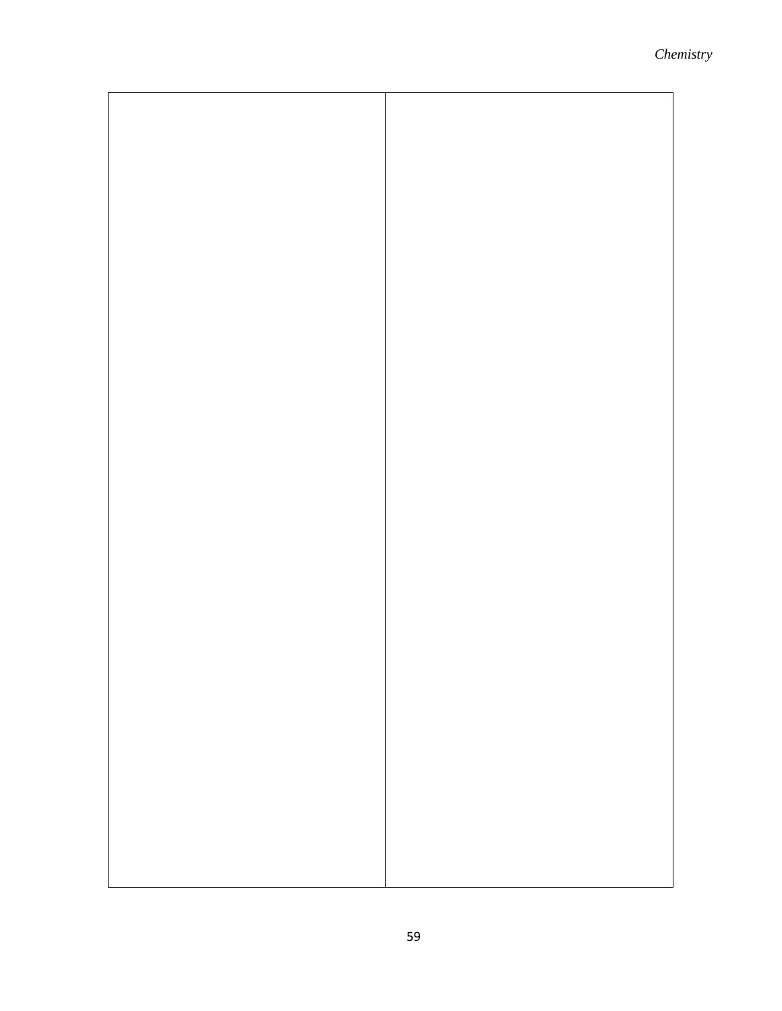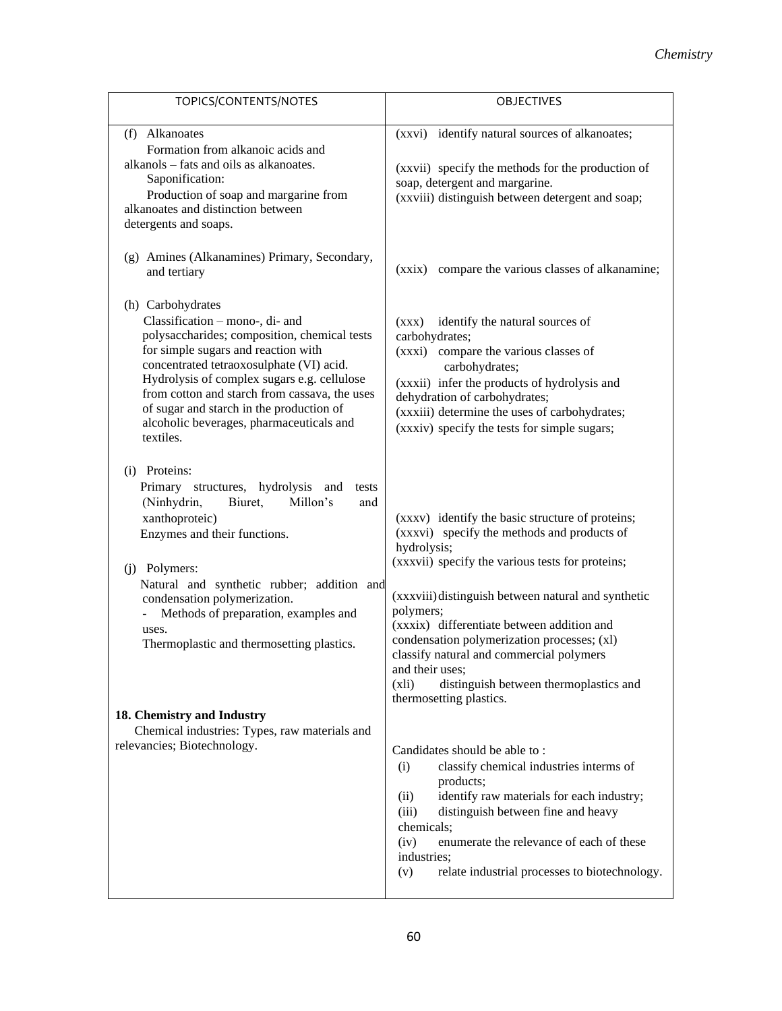| TOPICS/CONTENTS/NOTES                                                                                                                                                                                                                                                                                                                                                                        | <b>OBJECTIVES</b>                                                                                                                                                                                                                                                                                                                                                                                                                                                                |
|----------------------------------------------------------------------------------------------------------------------------------------------------------------------------------------------------------------------------------------------------------------------------------------------------------------------------------------------------------------------------------------------|----------------------------------------------------------------------------------------------------------------------------------------------------------------------------------------------------------------------------------------------------------------------------------------------------------------------------------------------------------------------------------------------------------------------------------------------------------------------------------|
| (f) Alkanoates<br>Formation from alkanoic acids and<br>alkanols - fats and oils as alkanoates.<br>Saponification:<br>Production of soap and margarine from<br>alkanoates and distinction between<br>detergents and soaps.                                                                                                                                                                    | (xxvi) identify natural sources of alkanoates;<br>(xxvii) specify the methods for the production of<br>soap, detergent and margarine.<br>(xxviii) distinguish between detergent and soap;                                                                                                                                                                                                                                                                                        |
| (g) Amines (Alkanamines) Primary, Secondary,<br>and tertiary                                                                                                                                                                                                                                                                                                                                 | compare the various classes of alkanamine;<br>(xxix)                                                                                                                                                                                                                                                                                                                                                                                                                             |
| (h) Carbohydrates<br>Classification - mono-, di- and<br>polysaccharides; composition, chemical tests<br>for simple sugars and reaction with<br>concentrated tetraoxosulphate (VI) acid.<br>Hydrolysis of complex sugars e.g. cellulose<br>from cotton and starch from cassava, the uses<br>of sugar and starch in the production of<br>alcoholic beverages, pharmaceuticals and<br>textiles. | identify the natural sources of<br>(XXX)<br>carbohydrates;<br>(xxxi) compare the various classes of<br>carbohydrates;<br>(xxxii) infer the products of hydrolysis and<br>dehydration of carbohydrates;<br>(xxxiii) determine the uses of carbohydrates;<br>(xxxiv) specify the tests for simple sugars;                                                                                                                                                                          |
| (i) Proteins:<br>Primary structures, hydrolysis<br>and<br>tests<br>(Ninhydrin,<br>Biuret,<br>Millon's<br>and<br>xanthoproteic)<br>Enzymes and their functions.<br>(j) Polymers:<br>Natural and synthetic rubber; addition and<br>condensation polymerization.<br>Methods of preparation, examples and<br>$\overline{\phantom{0}}$<br>uses.<br>Thermoplastic and thermosetting plastics.      | (xxxv) identify the basic structure of proteins;<br>(xxxvi) specify the methods and products of<br>hydrolysis;<br>(xxxvii) specify the various tests for proteins;<br>(xxxviii) distinguish between natural and synthetic<br>polymers;<br>(xxxix) differentiate between addition and<br>condensation polymerization processes; (xl)<br>classify natural and commercial polymers<br>and their uses;<br>(xli)<br>distinguish between thermoplastics and<br>thermosetting plastics. |
| 18. Chemistry and Industry<br>Chemical industries: Types, raw materials and<br>relevancies; Biotechnology.                                                                                                                                                                                                                                                                                   | Candidates should be able to:<br>classify chemical industries interms of<br>(i)<br>products;<br>identify raw materials for each industry;<br>(ii)<br>distinguish between fine and heavy<br>(iii)<br>chemicals;<br>enumerate the relevance of each of these<br>(iv)<br>industries;<br>relate industrial processes to biotechnology.<br>(v)                                                                                                                                        |